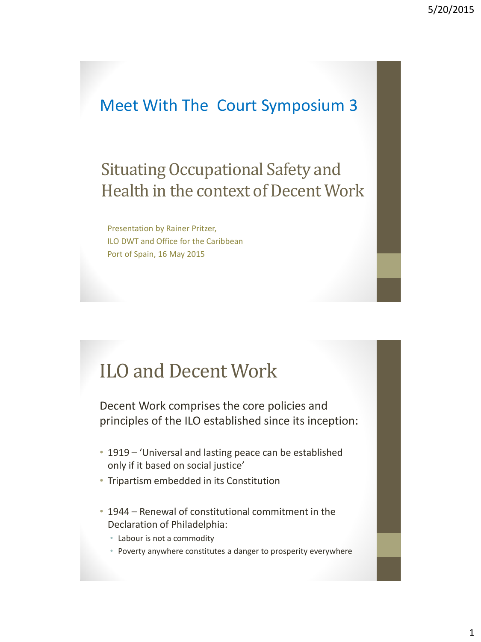### Meet With The Court Symposium 3

### Situating Occupational Safety and Health in the context of Decent Work

Presentation by Rainer Pritzer, ILO DWT and Office for the Caribbean Port of Spain, 16 May 2015

### ILO and Decent Work

Decent Work comprises the core policies and principles of the ILO established since its inception:

- 1919 'Universal and lasting peace can be established only if it based on social justice'
- Tripartism embedded in its Constitution
- 1944 Renewal of constitutional commitment in the Declaration of Philadelphia:
	- Labour is not a commodity
	- Poverty anywhere constitutes a danger to prosperity everywhere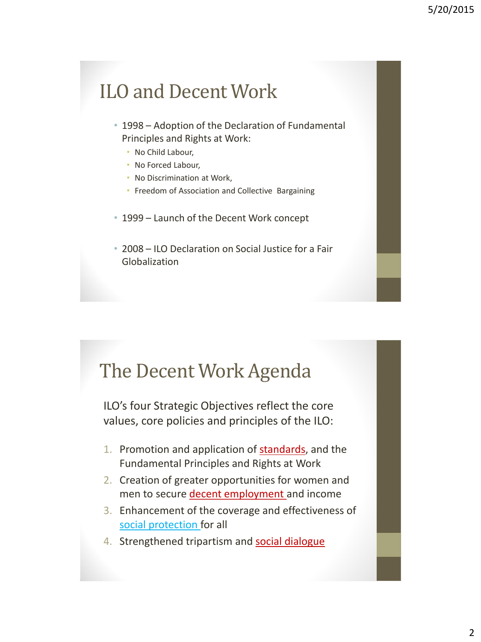## ILO and Decent Work

- 1998 Adoption of the Declaration of Fundamental Principles and Rights at Work:
	- No Child Labour,
	- No Forced Labour,
	- No Discrimination at Work,
	- Freedom of Association and Collective Bargaining
- 1999 Launch of the Decent Work concept
- 2008 ILO Declaration on Social Justice for a Fair Globalization

### The Decent Work Agenda

ILO's four Strategic Objectives reflect the core values, core policies and principles of the ILO:

- 1. Promotion and application of **standards**, and the Fundamental Principles and Rights at Work
- 2. Creation of greater opportunities for women and men to secure decent employment and income
- 3. Enhancement of the coverage and effectiveness of social protection for all
- 4. Strengthened tripartism and social dialogue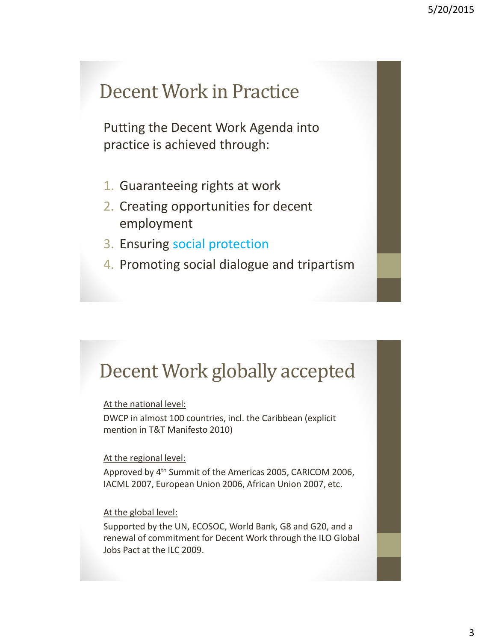### Decent Work in Practice

Putting the Decent Work Agenda into practice is achieved through:

- 1. Guaranteeing rights at work
- 2. Creating opportunities for decent employment
- 3. Ensuring social protection
- 4. Promoting social dialogue and tripartism

## Decent Work globally accepted

At the national level:

DWCP in almost 100 countries, incl. the Caribbean (explicit mention in T&T Manifesto 2010)

#### At the regional level:

Approved by 4th Summit of the Americas 2005, CARICOM 2006, IACML 2007, European Union 2006, African Union 2007, etc.

#### At the global level:

Supported by the UN, ECOSOC, World Bank, G8 and G20, and a renewal of commitment for Decent Work through the ILO Global Jobs Pact at the ILC 2009.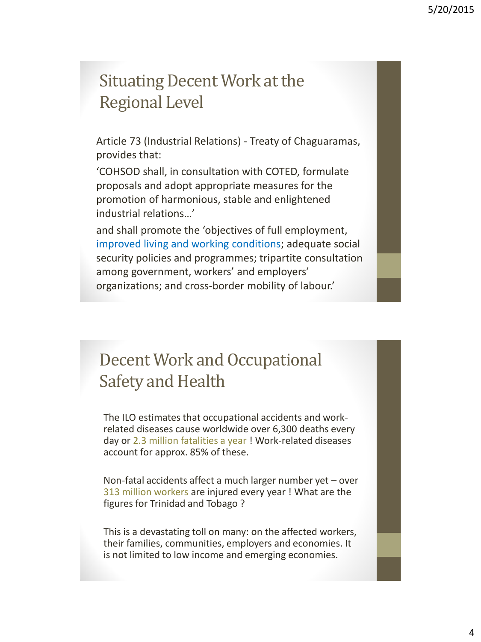### Situating Decent Work at the Regional Level

Article 73 (Industrial Relations) - Treaty of Chaguaramas, provides that:

'COHSOD shall, in consultation with COTED, formulate proposals and adopt appropriate measures for the promotion of harmonious, stable and enlightened industrial relations…'

and shall promote the 'objectives of full employment, improved living and working conditions; adequate social security policies and programmes; tripartite consultation among government, workers' and employers' organizations; and cross-border mobility of labour.'

### Decent Work and Occupational Safety and Health

The ILO estimates that occupational accidents and workrelated diseases cause worldwide over 6,300 deaths every day or 2.3 million fatalities a year ! Work-related diseases account for approx. 85% of these.

Non-fatal accidents affect a much larger number yet – over 313 million workers are injured every year ! What are the figures for Trinidad and Tobago ?

This is a devastating toll on many: on the affected workers, their families, communities, employers and economies. It is not limited to low income and emerging economies.